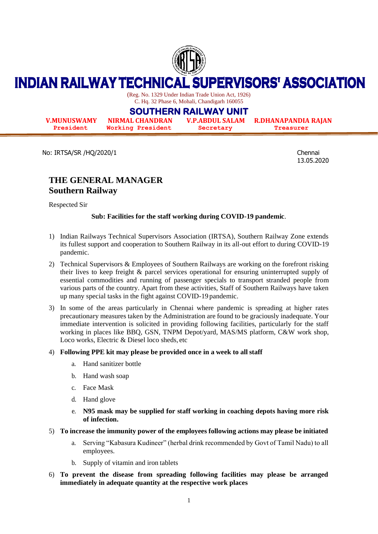

#### **INDIAN RAILWAY TECHNICAL SUPERVISORS' ASSOCIATION**

(Reg. No. 1329 Under Indian Trade Union Act, 1926) C. Hq. 32 Phase 6, Mohali, Chandigarh 160055

# **SOUTHERN RAILWAY UNIT**

**V.MUNUSWAMY NIRMAL CHANDRAN V.P.ABDUL SALAM R.DHANAPANDIA RAJAN President Working President Secretary Treasurer**

No: IRTSA/SR /HQ/2020/1 Chennai

13.05.2020

# **THE GENERAL MANAGER Southern Railway**

Respected Sir

## **Sub: Facilities for the staff working during COVID-19 pandemic**.

- 1) Indian Railways Technical Supervisors Association (IRTSA), Southern Railway Zone extends its fullest support and cooperation to Southern Railway in its all-out effort to during COVID-19 pandemic.
- 2) Technical Supervisors & Employees of Southern Railways are working on the forefront risking their lives to keep freight & parcel services operational for ensuring uninterrupted supply of essential commodities and running of passenger specials to transport stranded people from various parts of the country. Apart from these activities, Staff of Southern Railways have taken up many special tasks in the fight against COVID-19 pandemic.
- 3) In some of the areas particularly in Chennai where pandemic is spreading at higher rates precautionary measures taken by the Administration are found to be graciously inadequate. Your immediate intervention is solicited in providing following facilities, particularly for the staff working in places like BBQ, GSN, TNPM Depot/yard, MAS/MS platform, C&W work shop, Loco works, Electric & Diesel loco sheds, etc

### 4) **Following PPE kit may please be provided once in a week to all staff**

- a. Hand sanitizer bottle
- b. Hand wash soap
- c. Face Mask
- d. Hand glove
- e. **N95 mask may be supplied for staff working in coaching depots having more risk of infection.**
- 5) **To increase the immunity power of the employees following actions may please be initiated**
	- a. Serving "Kabasura Kudineer" (herbal drink recommended by Govt of Tamil Nadu) to all employees.
	- b. Supply of vitamin and iron tablets
- 6) **To prevent the disease from spreading following facilities may please be arranged immediately in adequate quantity at the respective work places**